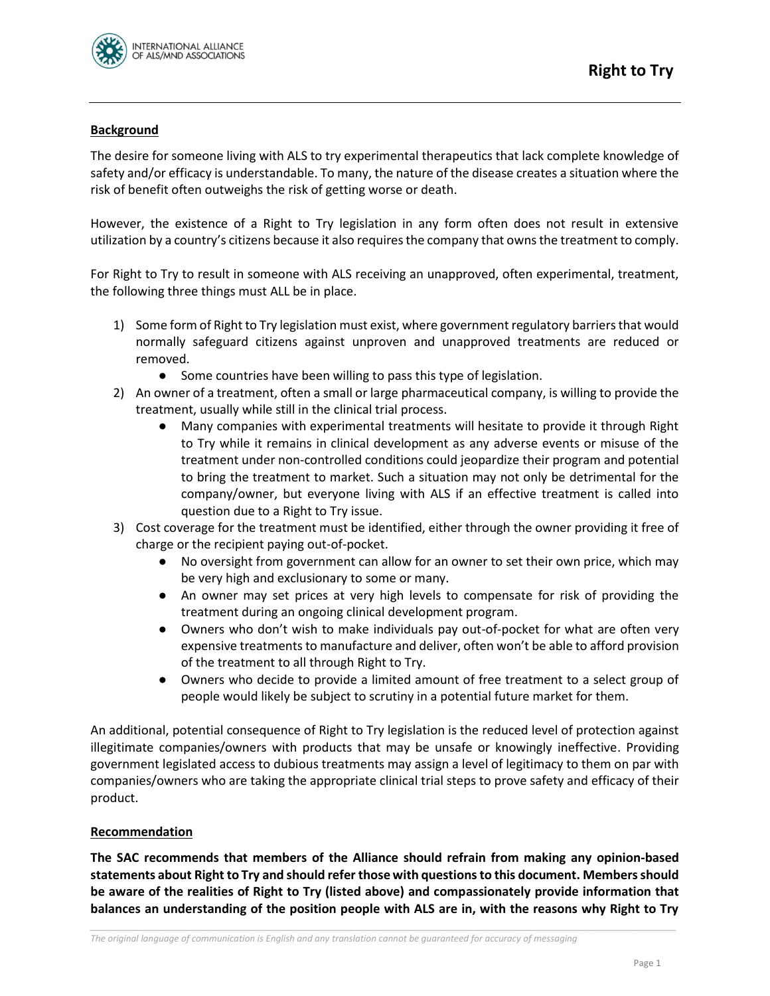

## **Background**

The desire for someone living with ALS to try experimental therapeutics that lack complete knowledge of safety and/or efficacy is understandable. To many, the nature of the disease creates a situation where the risk of benefit often outweighs the risk of getting worse or death.

However, the existence of a Right to Try legislation in any form often does not result in extensive utilization by a country's citizens because it also requires the company that owns the treatment to comply.

For Right to Try to result in someone with ALS receiving an unapproved, often experimental, treatment, the following three things must ALL be in place.

- 1) Some form of Right to Try legislation must exist, where government regulatory barriers that would normally safeguard citizens against unproven and unapproved treatments are reduced or removed.
	- Some countries have been willing to pass this type of legislation.
- 2) An owner of a treatment, often a small or large pharmaceutical company, is willing to provide the treatment, usually while still in the clinical trial process.
	- Many companies with experimental treatments will hesitate to provide it through Right to Try while it remains in clinical development as any adverse events or misuse of the treatment under non-controlled conditions could jeopardize their program and potential to bring the treatment to market. Such a situation may not only be detrimental for the company/owner, but everyone living with ALS if an effective treatment is called into question due to a Right to Try issue.
- 3) Cost coverage for the treatment must be identified, either through the owner providing it free of charge or the recipient paying out-of-pocket.
	- No oversight from government can allow for an owner to set their own price, which may be very high and exclusionary to some or many.
	- An owner may set prices at very high levels to compensate for risk of providing the treatment during an ongoing clinical development program.
	- Owners who don't wish to make individuals pay out-of-pocket for what are often very expensive treatments to manufacture and deliver, often won't be able to afford provision of the treatment to all through Right to Try.
	- Owners who decide to provide a limited amount of free treatment to a select group of people would likely be subject to scrutiny in a potential future market for them.

An additional, potential consequence of Right to Try legislation is the reduced level of protection against illegitimate companies/owners with products that may be unsafe or knowingly ineffective. Providing government legislated access to dubious treatments may assign a level of legitimacy to them on par with companies/owners who are taking the appropriate clinical trial steps to prove safety and efficacy of their product.

## **Recommendation**

**The SAC recommends that members of the Alliance should refrain from making any opinion-based statements about Right to Try and should refer those with questions to this document. Members should be aware of the realities of Right to Try (listed above) and compassionately provide information that balances an understanding of the position people with ALS are in, with the reasons why Right to Try** 

*\_\_\_\_\_\_\_\_\_\_\_\_\_\_\_\_\_\_\_\_\_\_\_\_\_\_\_\_\_\_\_\_\_\_\_\_\_\_\_\_\_\_\_\_\_\_\_\_\_\_\_\_\_\_\_\_\_\_\_\_\_\_\_\_\_\_\_\_\_\_\_\_\_\_\_\_\_\_\_\_\_\_\_\_\_\_\_\_\_\_\_\_\_\_\_\_\_\_\_\_\_\_\_\_\_\_\_\_\_\_\_\_\_\_\_\_\_*